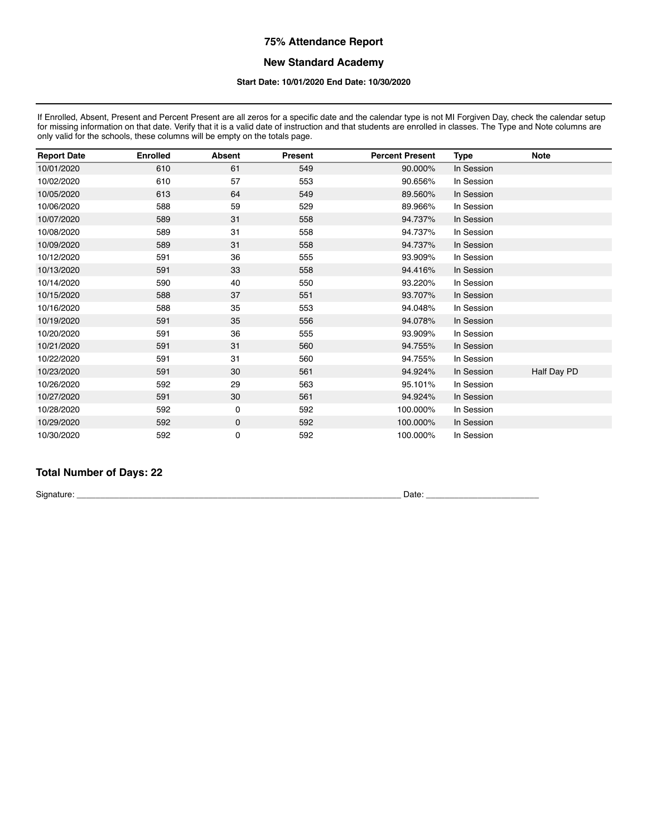### **New Standard Academy**

#### **Start Date: 10/01/2020 End Date: 10/30/2020**

If Enrolled, Absent, Present and Percent Present are all zeros for a specific date and the calendar type is not MI Forgiven Day, check the calendar setup for missing information on that date. Verify that it is a valid date of instruction and that students are enrolled in classes. The Type and Note columns are only valid for the schools, these columns will be empty on the totals page.

| <b>Report Date</b> | <b>Enrolled</b> | <b>Absent</b> | <b>Present</b> | <b>Percent Present</b> | <b>Type</b> | <b>Note</b> |
|--------------------|-----------------|---------------|----------------|------------------------|-------------|-------------|
| 10/01/2020         | 610             | 61            | 549            | 90.000%                | In Session  |             |
| 10/02/2020         | 610             | 57            | 553            | 90.656%                | In Session  |             |
| 10/05/2020         | 613             | 64            | 549            | 89.560%                | In Session  |             |
| 10/06/2020         | 588             | 59            | 529            | 89.966%                | In Session  |             |
| 10/07/2020         | 589             | 31            | 558            | 94.737%                | In Session  |             |
| 10/08/2020         | 589             | 31            | 558            | 94.737%                | In Session  |             |
| 10/09/2020         | 589             | 31            | 558            | 94.737%                | In Session  |             |
| 10/12/2020         | 591             | 36            | 555            | 93.909%                | In Session  |             |
| 10/13/2020         | 591             | 33            | 558            | 94.416%                | In Session  |             |
| 10/14/2020         | 590             | 40            | 550            | 93.220%                | In Session  |             |
| 10/15/2020         | 588             | 37            | 551            | 93.707%                | In Session  |             |
| 10/16/2020         | 588             | 35            | 553            | 94.048%                | In Session  |             |
| 10/19/2020         | 591             | 35            | 556            | 94.078%                | In Session  |             |
| 10/20/2020         | 591             | 36            | 555            | 93.909%                | In Session  |             |
| 10/21/2020         | 591             | 31            | 560            | 94.755%                | In Session  |             |
| 10/22/2020         | 591             | 31            | 560            | 94.755%                | In Session  |             |
| 10/23/2020         | 591             | 30            | 561            | 94.924%                | In Session  | Half Day PD |
| 10/26/2020         | 592             | 29            | 563            | 95.101%                | In Session  |             |
| 10/27/2020         | 591             | 30            | 561            | 94.924%                | In Session  |             |
| 10/28/2020         | 592             | 0             | 592            | 100.000%               | In Session  |             |
| 10/29/2020         | 592             | $\mathbf 0$   | 592            | 100.000%               | In Session  |             |
| 10/30/2020         | 592             | 0             | 592            | 100.000%               | In Session  |             |

# **Total Number of Days: 22**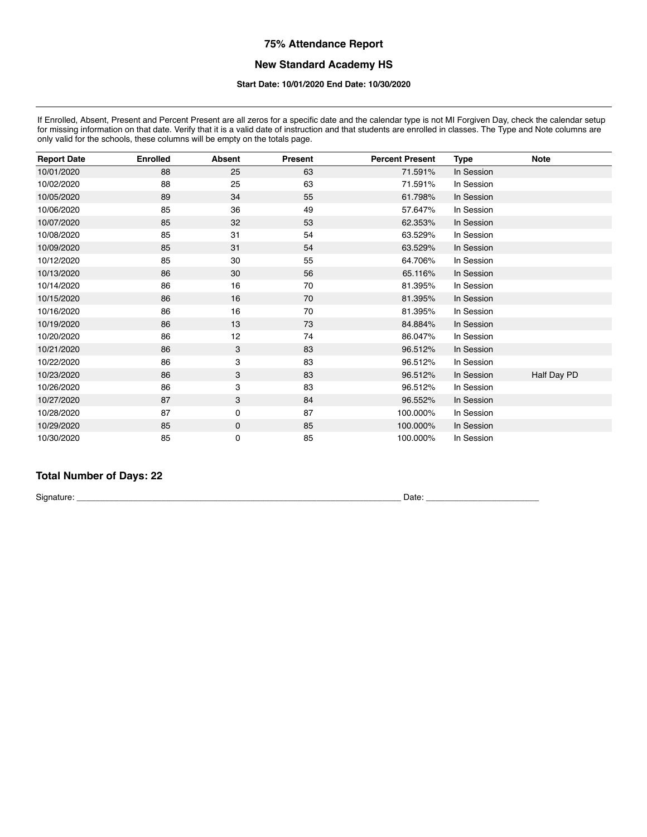# **New Standard Academy HS**

#### **Start Date: 10/01/2020 End Date: 10/30/2020**

If Enrolled, Absent, Present and Percent Present are all zeros for a specific date and the calendar type is not MI Forgiven Day, check the calendar setup for missing information on that date. Verify that it is a valid date of instruction and that students are enrolled in classes. The Type and Note columns are for missing information on that date. Verify that it is a valid d only valid for the schools, these columns will be empty on the totals page.

| <b>Report Date</b> | <b>Enrolled</b> | <b>Absent</b> | <b>Present</b> | <b>Percent Present</b> | Type       | <b>Note</b> |
|--------------------|-----------------|---------------|----------------|------------------------|------------|-------------|
| 10/01/2020         | 88              | 25            | 63             | 71.591%                | In Session |             |
| 10/02/2020         | 88              | 25            | 63             | 71.591%                | In Session |             |
| 10/05/2020         | 89              | 34            | 55             | 61.798%                | In Session |             |
| 10/06/2020         | 85              | 36            | 49             | 57.647%                | In Session |             |
| 10/07/2020         | 85              | 32            | 53             | 62.353%                | In Session |             |
| 10/08/2020         | 85              | 31            | 54             | 63.529%                | In Session |             |
| 10/09/2020         | 85              | 31            | 54             | 63.529%                | In Session |             |
| 10/12/2020         | 85              | 30            | 55             | 64.706%                | In Session |             |
| 10/13/2020         | 86              | 30            | 56             | 65.116%                | In Session |             |
| 10/14/2020         | 86              | 16            | 70             | 81.395%                | In Session |             |
| 10/15/2020         | 86              | 16            | 70             | 81.395%                | In Session |             |
| 10/16/2020         | 86              | 16            | 70             | 81.395%                | In Session |             |
| 10/19/2020         | 86              | 13            | 73             | 84.884%                | In Session |             |
| 10/20/2020         | 86              | 12            | 74             | 86.047%                | In Session |             |
| 10/21/2020         | 86              | 3             | 83             | 96.512%                | In Session |             |
| 10/22/2020         | 86              | 3             | 83             | 96.512%                | In Session |             |
| 10/23/2020         | 86              | 3             | 83             | 96.512%                | In Session | Half Day PD |
| 10/26/2020         | 86              | 3             | 83             | 96.512%                | In Session |             |
| 10/27/2020         | 87              | 3             | 84             | 96.552%                | In Session |             |
| 10/28/2020         | 87              | 0             | 87             | 100.000%               | In Session |             |
| 10/29/2020         | 85              | 0             | 85             | 100.000%               | In Session |             |
| 10/30/2020         | 85              | 0             | 85             | 100.000%               | In Session |             |

# **Total Number of Days: 22**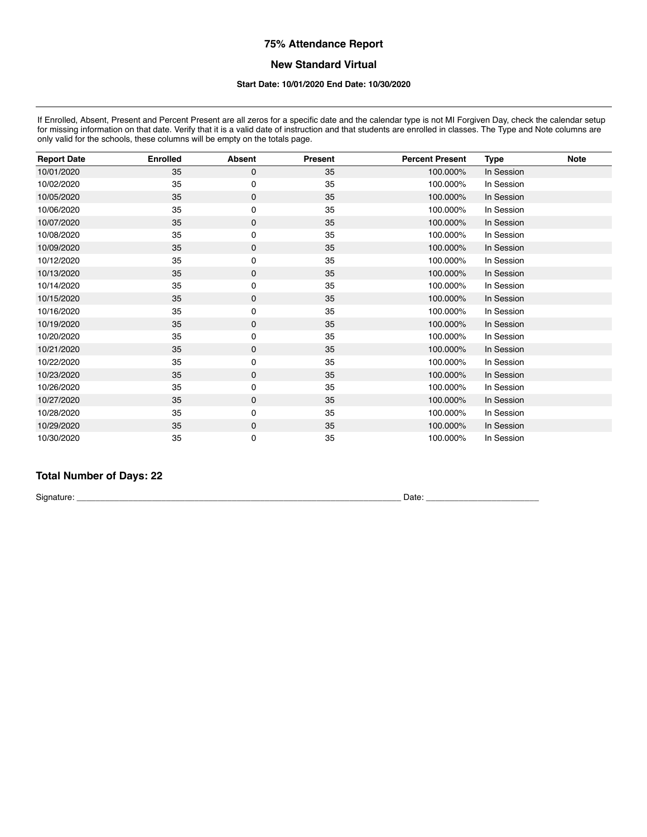## **New Standard Virtual**

#### **Start Date: 10/01/2020 End Date: 10/30/2020**

If Enrolled, Absent, Present and Percent Present are all zeros for a specific date and the calendar type is not MI Forgiven Day, check the calendar setup for missing information on that date. Verify that it is a valid date of instruction and that students are enrolled in classes. The Type and Note columns are for missing information on that date. Verify that it is a valid d only valid for the schools, these columns will be empty on the totals page.

| <b>Report Date</b> | <b>Enrolled</b> | <b>Absent</b> | <b>Present</b> | <b>Percent Present</b> | <b>Type</b> | <b>Note</b> |
|--------------------|-----------------|---------------|----------------|------------------------|-------------|-------------|
| 10/01/2020         | 35              | 0             | 35             | 100.000%               | In Session  |             |
| 10/02/2020         | 35              | 0             | 35             | 100.000%               | In Session  |             |
| 10/05/2020         | 35              | 0             | 35             | 100.000%               | In Session  |             |
| 10/06/2020         | 35              | 0             | 35             | 100.000%               | In Session  |             |
| 10/07/2020         | 35              | 0             | 35             | 100.000%               | In Session  |             |
| 10/08/2020         | 35              | 0             | 35             | 100.000%               | In Session  |             |
| 10/09/2020         | 35              | 0             | 35             | 100.000%               | In Session  |             |
| 10/12/2020         | 35              | 0             | 35             | 100.000%               | In Session  |             |
| 10/13/2020         | 35              | 0             | 35             | 100.000%               | In Session  |             |
| 10/14/2020         | 35              | 0             | 35             | 100.000%               | In Session  |             |
| 10/15/2020         | 35              | 0             | 35             | 100.000%               | In Session  |             |
| 10/16/2020         | 35              | 0             | 35             | 100.000%               | In Session  |             |
| 10/19/2020         | 35              | 0             | 35             | 100.000%               | In Session  |             |
| 10/20/2020         | 35              | 0             | 35             | 100.000%               | In Session  |             |
| 10/21/2020         | 35              | 0             | 35             | 100.000%               | In Session  |             |
| 10/22/2020         | 35              | 0             | 35             | 100.000%               | In Session  |             |
| 10/23/2020         | 35              | 0             | 35             | 100.000%               | In Session  |             |
| 10/26/2020         | 35              | 0             | 35             | 100.000%               | In Session  |             |
| 10/27/2020         | 35              | 0             | 35             | 100.000%               | In Session  |             |
| 10/28/2020         | 35              | 0             | 35             | 100.000%               | In Session  |             |
| 10/29/2020         | 35              | 0             | 35             | 100.000%               | In Session  |             |
| 10/30/2020         | 35              | 0             | 35             | 100.000%               | In Session  |             |

# **Total Number of Days: 22**